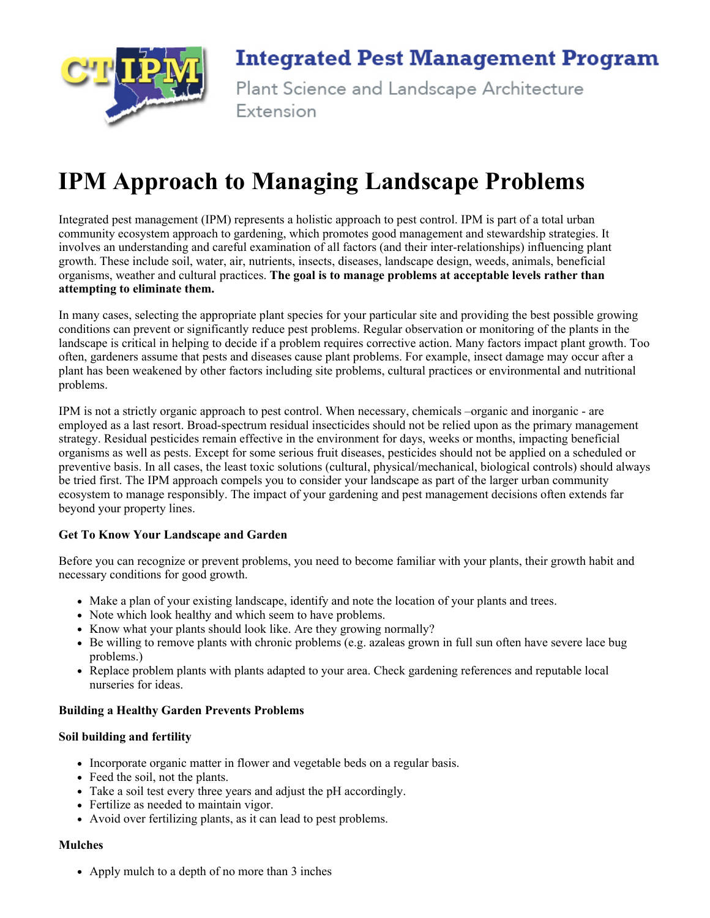

### **Integrated Pest Management Program**

Plant Science and Landscape Architecture Extension

## IPM Approach to Managing Landscape Problems

Integrated pest management (IPM) represents a holistic approach to pest control. IPM is part of a total urban community ecosystem approach to gardening, which promotes good management and stewardship strategies. It involves an understanding and careful examination of all factors (and their interrelationships) influencing plant growth. These include soil, water, air, nutrients, insects, diseases, landscape design, weeds, animals, beneficial organisms, weather and cultural practices. The goal is to manage problems at acceptable levels rather than attempting to eliminate them.

In many cases, selecting the appropriate plant species for your particular site and providing the best possible growing conditions can prevent or significantly reduce pest problems. Regular observation or monitoring of the plants in the landscape is critical in helping to decide if a problem requires corrective action. Many factors impact plant growth. Too often, gardeners assume that pests and diseases cause plant problems. For example, insect damage may occur after a plant has been weakened by other factors including site problems, cultural practices or environmental and nutritional problems.

IPM is not a strictly organic approach to pest control. When necessary, chemicals –organic and inorganic are employed as a last resort. Broad-spectrum residual insecticides should not be relied upon as the primary management strategy. Residual pesticides remain effective in the environment for days, weeks or months, impacting beneficial organisms as well as pests. Except for some serious fruit diseases, pesticides should not be applied on a scheduled or preventive basis. In all cases, the least toxic solutions (cultural, physical/mechanical, biological controls) should always be tried first. The IPM approach compels you to consider your landscape as part of the larger urban community ecosystem to manage responsibly. The impact of your gardening and pest management decisions often extends far beyond your property lines.

#### Get To Know Your Landscape and Garden

Before you can recognize or prevent problems, you need to become familiar with your plants, their growth habit and necessary conditions for good growth.

- Make a plan of your existing landscape, identify and note the location of your plants and trees.
- Note which look healthy and which seem to have problems.
- Know what your plants should look like. Are they growing normally?
- Be willing to remove plants with chronic problems (e.g. azaleas grown in full sun often have severe lace bug problems.)
- Replace problem plants with plants adapted to your area. Check gardening references and reputable local nurseries for ideas.

#### Building a Healthy Garden Prevents Problems

#### Soil building and fertility

- Incorporate organic matter in flower and vegetable beds on a regular basis.
- Feed the soil, not the plants.
- Take a soil test every three years and adjust the pH accordingly.
- Fertilize as needed to maintain vigor.
- Avoid over fertilizing plants, as it can lead to pest problems.

#### Mulches

• Apply mulch to a depth of no more than 3 inches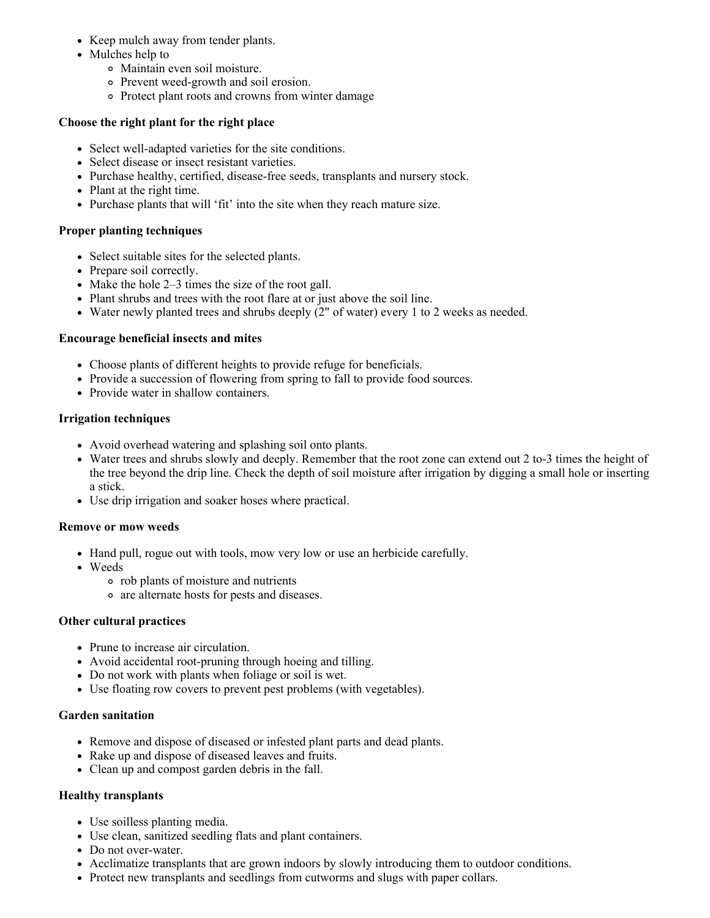- Keep mulch away from tender plants.
- Mulches help to
	- Maintain even soil moisture.
	- Prevent weed-growth and soil erosion.
	- Protect plant roots and crowns from winter damage

#### Choose the right plant for the right place

- Select well-adapted varieties for the site conditions.
- Select disease or insect resistant varieties.
- Purchase healthy, certified, disease-free seeds, transplants and nursery stock.
- Plant at the right time.
- Purchase plants that will 'fit' into the site when they reach mature size.

#### Proper planting techniques

- Select suitable sites for the selected plants.
- Prepare soil correctly.
- Make the hole  $2-3$  times the size of the root gall.
- Plant shrubs and trees with the root flare at or just above the soil line.
- Water newly planted trees and shrubs deeply (2" of water) every 1 to 2 weeks as needed.

#### Encourage beneficial insects and mites

- Choose plants of different heights to provide refuge for beneficials.
- Provide a succession of flowering from spring to fall to provide food sources.
- Provide water in shallow containers.

#### Irrigation techniques

- Avoid overhead watering and splashing soil onto plants.
- Water trees and shrubs slowly and deeply. Remember that the root zone can extend out 2 to-3 times the height of the tree beyond the drip line. Check the depth of soil moisture after irrigation by digging a small hole or inserting a stick.
- Use drip irrigation and soaker hoses where practical.

#### Remove or mow weeds

- Hand pull, rogue out with tools, mow very low or use an herbicide carefully.
- Weeds
	- rob plants of moisture and nutrients
	- are alternate hosts for pests and diseases.

#### Other cultural practices

- Prune to increase air circulation.
- $\bullet$  Avoid accidental root-pruning through hoeing and tilling.
- Do not work with plants when foliage or soil is wet.
- Use floating row covers to prevent pest problems (with vegetables).

#### Garden sanitation

- Remove and dispose of diseased or infested plant parts and dead plants.
- Rake up and dispose of diseased leaves and fruits.
- Clean up and compost garden debris in the fall.

#### Healthy transplants

- Use soilless planting media.
- Use clean, sanitized seedling flats and plant containers.
- Do not over-water.
- Acclimatize transplants that are grown indoors by slowly introducing them to outdoor conditions.
- Protect new transplants and seedlings from cutworms and slugs with paper collars.